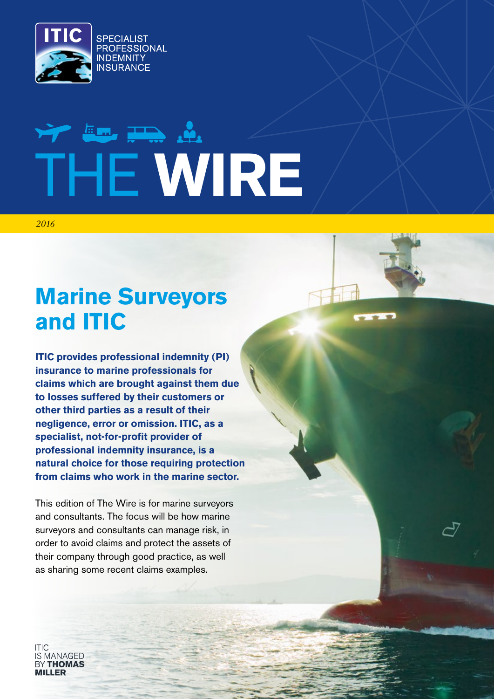

# We have the shift THE **WIRE**

*2016*

# **Marine Surveyors and ITIC**

**ITIC provides professional indemnity (PI) insurance to marine professionals for claims which are brought against them due to losses suffered by their customers or other third parties as a result of their negligence, error or omission. ITIC, as a specialist, not-for-profit provider of professional indemnity insurance, is a natural choice for those requiring protection from claims who work in the marine sector.**

This edition of The Wire is for marine surveyors and consultants. The focus will be how marine surveyors and consultants can manage risk, in order to avoid claims and protect the assets of their company through good practice, as well as sharing some recent claims examples.

IS MANAGED **BY THOMAS MILLED**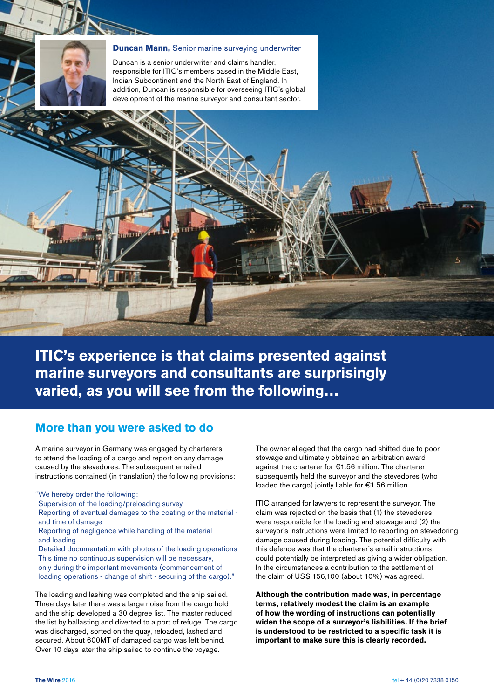

#### **Duncan Mann,** Senior marine surveying underwriter

Duncan is a senior underwriter and claims handler, responsible for ITIC's members based in the Middle East, Indian Subcontinent and the North East of England. In addition, Duncan is responsible for overseeing ITIC's global development of the marine surveyor and consultant sector.



#### **More than you were asked to do**

A marine surveyor in Germany was engaged by charterers to attend the loading of a cargo and report on any damage caused by the stevedores. The subsequent emailed instructions contained (in translation) the following provisions:

"We hereby order the following:

Supervision of the loading/preloading survey

Reporting of eventual damages to the coating or the material and time of damage

#### Reporting of negligence while handling of the material and loading

Detailed documentation with photos of the loading operations This time no continuous supervision will be necessary, only during the important movements (commencement of loading operations - change of shift - securing of the cargo)."

The loading and lashing was completed and the ship sailed. Three days later there was a large noise from the cargo hold and the ship developed a 30 degree list. The master reduced the list by ballasting and diverted to a port of refuge. The cargo was discharged, sorted on the quay, reloaded, lashed and secured. About 600MT of damaged cargo was left behind. Over 10 days later the ship sailed to continue the voyage.

The owner alleged that the cargo had shifted due to poor stowage and ultimately obtained an arbitration award against the charterer for €1.56 million. The charterer subsequently held the surveyor and the stevedores (who loaded the cargo) jointly liable for €1.56 million.

ITIC arranged for lawyers to represent the surveyor. The claim was rejected on the basis that (1) the stevedores were responsible for the loading and stowage and (2) the surveyor's instructions were limited to reporting on stevedoring damage caused during loading. The potential difficulty with this defence was that the charterer's email instructions could potentially be interpreted as giving a wider obligation. In the circumstances a contribution to the settlement of the claim of US\$ 156,100 (about 10%) was agreed.

**Although the contribution made was, in percentage terms, relatively modest the claim is an example of how the wording of instructions can potentially widen the scope of a surveyor's liabilities. If the brief is understood to be restricted to a specific task it is important to make sure this is clearly recorded.**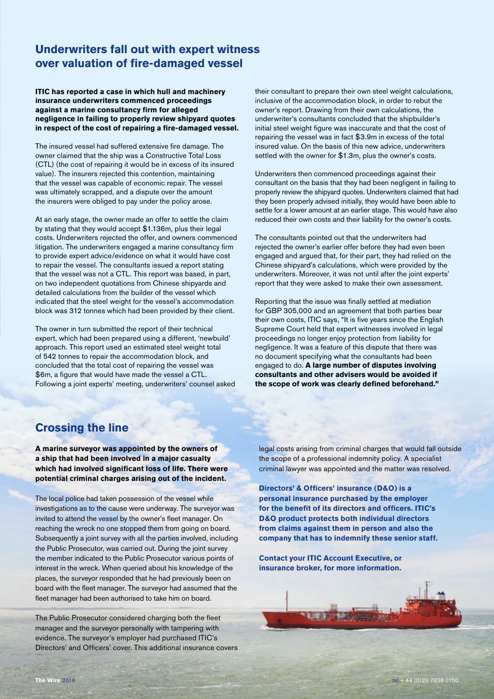## **Underwriters fall out with expert witness over valuation of fire-damaged vessel**

**ITIC has reported a case in which hull and machinery insurance underwriters commenced proceedings against a marine consultancy firm for alleged negligence in failing to properly review shipyard quotes in respect of the cost of repairing a fire-damaged vessel.**

The insured vessel had suffered extensive fire damage. The owner claimed that the ship was a Constructive Total Loss (CTL) (the cost of repairing it would be in excess of its insured value). The insurers rejected this contention, maintaining that the vessel was capable of economic repair. The vessel was ultimately scrapped, and a dispute over the amount the insurers were obliged to pay under the policy arose.

At an early stage, the owner made an offer to settle the claim by stating that they would accept \$1.136m, plus their legal costs. Underwriters rejected the offer, and owners commenced litigation. The underwriters engaged a marine consultancy firm to provide expert advice/evidence on what it would have cost to repair the vessel. The consultants issued a report stating that the vessel was not a CTL. This report was based, in part, on two independent quotations from Chinese shipyards and detailed calculations from the builder of the vessel which indicated that the steel weight for the vessel's accommodation block was 312 tonnes which had been provided by their client.

The owner in turn submitted the report of their technical expert, which had been prepared using a different, 'newbuild' approach. This report used an estimated steel weight total of 542 tonnes to repair the accommodation block, and concluded that the total cost of repairing the vessel was \$6m, a figure that would have made the vessel a CTL. Following a joint experts' meeting, underwriters' counsel asked their consultant to prepare their own steel weight calculations, inclusive of the accommodation block, in order to rebut the owner's report. Drawing from their own calculations, the underwriter's consultants concluded that the shipbuilder's initial steel weight figure was inaccurate and that the cost of repairing the vessel was in fact \$3.9m in excess of the total insured value. On the basis of this new advice, underwriters settled with the owner for \$1.3m, plus the owner's costs.

Underwriters then commenced proceedings against their consultant on the basis that they had been negligent in failing to properly review the shipyard quotes. Underwriters claimed that had they been properly advised initially, they would have been able to settle for a lower amount at an earlier stage. This would have also reduced their own costs and their liability for the owner's costs.

The consultants pointed out that the underwriters had rejected the owner's earlier offer before they had even been engaged and argued that, for their part, they had relied on the Chinese shipyard's calculations, which were provided by the underwriters. Moreover, it was not until after the joint experts' report that they were asked to make their own assessment.

Reporting that the issue was finally settled at mediation for GBP 305,000 and an agreement that both parties bear their own costs, ITIC says, "It is five years since the English Supreme Court held that expert witnesses involved in legal proceedings no longer enjoy protection from liability for negligence. It was a feature of this dispute that there was no document specifying what the consultants had been engaged to do. **A large number of disputes involving consultants and other advisers would be avoided if the scope of work was clearly defined beforehand."**

### **Crossing the line**

**A marine surveyor was appointed by the owners of a ship that had been involved in a major casualty which had involved significant loss of life. There were potential criminal charges arising out of the incident.**

The local police had taken possession of the vessel while investigations as to the cause were underway. The surveyor was invited to attend the vessel by the owner's fleet manager. On reaching the wreck no one stopped them from going on board. Subsequently a joint survey with all the parties involved, including the Public Prosecutor, was carried out. During the joint survey the member indicated to the Public Prosecutor various points of interest in the wreck. When queried about his knowledge of the places, the surveyor responded that he had previously been on board with the fleet manager. The surveyor had assumed that the fleet manager had been authorised to take him on board.

The Public Prosecutor considered charging both the fleet manager and the surveyor personally with tampering with evidence. The surveyor's employer had purchased ITIC's Directors' and Officers' cover. This additional insurance covers legal costs arising from criminal charges that would fall outside the scope of a professional indemnity policy. A specialist criminal lawyer was appointed and the matter was resolved.

**Directors' & Officers' insurance (D&O) is a personal insurance purchased by the employer for the benefit of its directors and officers. ITIC's D&O product protects both individual directors from claims against them in person and also the company that has to indemnify these senior staff.**

**Contact your ITIC Account Executive, or insurance broker, for more information.**